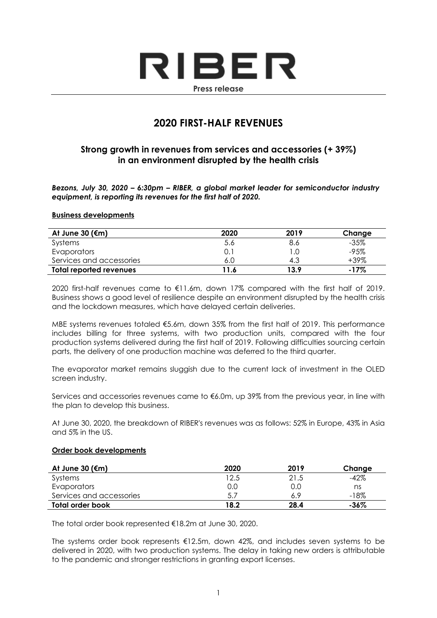# RIBER **Press release**

# **2020 FIRST-HALF REVENUES**

# **Strong growth in revenues from services and accessories (+ 39%) in an environment disrupted by the health crisis**

*Bezons, July 30, 2020 – 6:30pm – RIBER, a global market leader for semiconductor industry equipment, is reporting its revenues for the first half of 2020.*

### **Business developments**

| At June 30 ( $\epsilon$ m) | 2020 | 2019 | Change  |
|----------------------------|------|------|---------|
| Systems                    | 5.6  | 8.6  | $-35\%$ |
| Evaporators                |      |      | -95%    |
| Services and accessories   | 6.0  | 4.3  | +39%    |
| Total reported revenues    | ∣1.6 | 13.9 | $-17\%$ |

2020 first-half revenues came to €11.6m, down 17% compared with the first half of 2019. Business shows a good level of resilience despite an environment disrupted by the health crisis and the lockdown measures, which have delayed certain deliveries.

MBE systems revenues totaled €5.6m, down 35% from the first half of 2019. This performance includes billing for three systems, with two production units, compared with the four production systems delivered during the first half of 2019. Following difficulties sourcing certain parts, the delivery of one production machine was deferred to the third quarter.

The evaporator market remains sluggish due to the current lack of investment in the OLED screen industry.

Services and accessories revenues came to €6.0m, up 39% from the previous year, in line with the plan to develop this business.

At June 30, 2020, the breakdown of RIBER's revenues was as follows: 52% in Europe, 43% in Asia and 5% in the US.

#### **Order book developments**

| At June 30 (€m)          | 2020 | 2019 | Change  |
|--------------------------|------|------|---------|
| Systems                  | 12.5 | 21.5 | $-42\%$ |
| Evaporators              | 0.0  | 0.0  | ns      |
| Services and accessories | 5.7  | 6.9  | $-18%$  |
| Total order book         | 18.2 | 28.4 | -36%    |

The total order book represented €18.2m at June 30, 2020.

The systems order book represents  $E12.5m$ , down 42%, and includes seven systems to be delivered in 2020, with two production systems. The delay in taking new orders is attributable to the pandemic and stronger restrictions in granting export licenses.